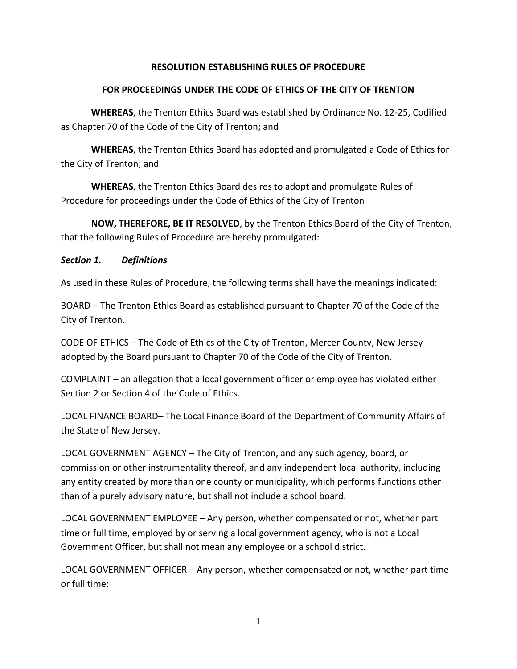### **RESOLUTION ESTABLISHING RULES OF PROCEDURE**

### **FOR PROCEEDINGS UNDER THE CODE OF ETHICS OF THE CITY OF TRENTON**

**WHEREAS**, the Trenton Ethics Board was established by Ordinance No. 12-25, Codified as Chapter 70 of the Code of the City of Trenton; and

**WHEREAS**, the Trenton Ethics Board has adopted and promulgated a Code of Ethics for the City of Trenton; and

**WHEREAS**, the Trenton Ethics Board desires to adopt and promulgate Rules of Procedure for proceedings under the Code of Ethics of the City of Trenton

**NOW, THEREFORE, BE IT RESOLVED**, by the Trenton Ethics Board of the City of Trenton, that the following Rules of Procedure are hereby promulgated:

#### *Section 1. Definitions*

As used in these Rules of Procedure, the following terms shall have the meanings indicated:

BOARD – The Trenton Ethics Board as established pursuant to Chapter 70 of the Code of the City of Trenton.

CODE OF ETHICS – The Code of Ethics of the City of Trenton, Mercer County, New Jersey adopted by the Board pursuant to Chapter 70 of the Code of the City of Trenton.

COMPLAINT – an allegation that a local government officer or employee has violated either Section 2 or Section 4 of the Code of Ethics.

LOCAL FINANCE BOARD– The Local Finance Board of the Department of Community Affairs of the State of New Jersey.

LOCAL GOVERNMENT AGENCY – The City of Trenton, and any such agency, board, or commission or other instrumentality thereof, and any independent local authority, including any entity created by more than one county or municipality, which performs functions other than of a purely advisory nature, but shall not include a school board.

LOCAL GOVERNMENT EMPLOYEE – Any person, whether compensated or not, whether part time or full time, employed by or serving a local government agency, who is not a Local Government Officer, but shall not mean any employee or a school district.

LOCAL GOVERNMENT OFFICER – Any person, whether compensated or not, whether part time or full time: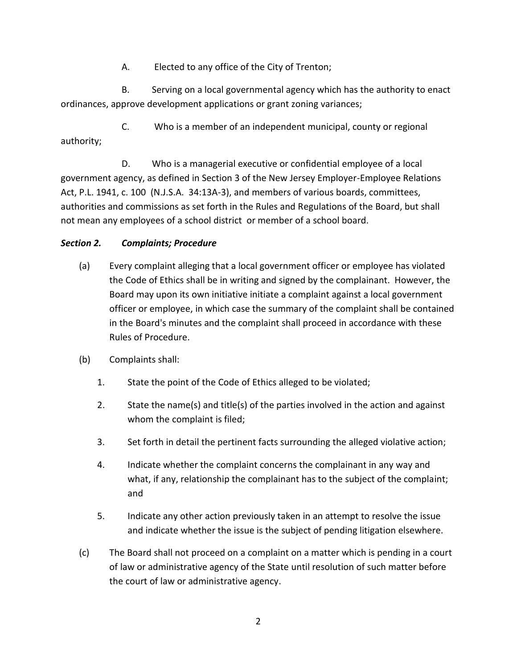A. Elected to any office of the City of Trenton;

B. Serving on a local governmental agency which has the authority to enact ordinances, approve development applications or grant zoning variances;

C. Who is a member of an independent municipal, county or regional authority;

D. Who is a managerial executive or confidential employee of a local government agency, as defined in Section 3 of the New Jersey Employer-Employee Relations Act, P.L. 1941, c. 100 (N.J.S.A. 34:13A-3), and members of various boards, committees, authorities and commissions as set forth in the Rules and Regulations of the Board, but shall not mean any employees of a school district or member of a school board.

# *Section 2. Complaints; Procedure*

- (a) Every complaint alleging that a local government officer or employee has violated the Code of Ethics shall be in writing and signed by the complainant. However, the Board may upon its own initiative initiate a complaint against a local government officer or employee, in which case the summary of the complaint shall be contained in the Board's minutes and the complaint shall proceed in accordance with these Rules of Procedure.
- (b) Complaints shall:
	- 1. State the point of the Code of Ethics alleged to be violated;
	- 2. State the name(s) and title(s) of the parties involved in the action and against whom the complaint is filed;
	- 3. Set forth in detail the pertinent facts surrounding the alleged violative action;
	- 4. Indicate whether the complaint concerns the complainant in any way and what, if any, relationship the complainant has to the subject of the complaint; and
	- 5. Indicate any other action previously taken in an attempt to resolve the issue and indicate whether the issue is the subject of pending litigation elsewhere.
- (c) The Board shall not proceed on a complaint on a matter which is pending in a court of law or administrative agency of the State until resolution of such matter before the court of law or administrative agency.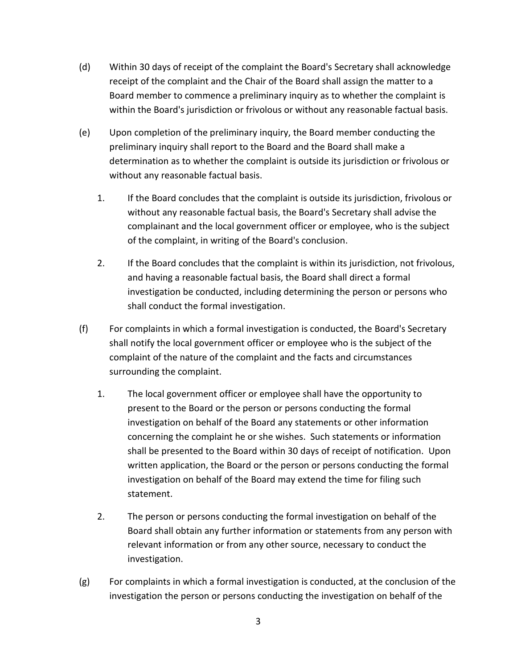- (d) Within 30 days of receipt of the complaint the Board's Secretary shall acknowledge receipt of the complaint and the Chair of the Board shall assign the matter to a Board member to commence a preliminary inquiry as to whether the complaint is within the Board's jurisdiction or frivolous or without any reasonable factual basis.
- (e) Upon completion of the preliminary inquiry, the Board member conducting the preliminary inquiry shall report to the Board and the Board shall make a determination as to whether the complaint is outside its jurisdiction or frivolous or without any reasonable factual basis.
	- 1. If the Board concludes that the complaint is outside its jurisdiction, frivolous or without any reasonable factual basis, the Board's Secretary shall advise the complainant and the local government officer or employee, who is the subject of the complaint, in writing of the Board's conclusion.
	- 2. If the Board concludes that the complaint is within its jurisdiction, not frivolous, and having a reasonable factual basis, the Board shall direct a formal investigation be conducted, including determining the person or persons who shall conduct the formal investigation.
- (f) For complaints in which a formal investigation is conducted, the Board's Secretary shall notify the local government officer or employee who is the subject of the complaint of the nature of the complaint and the facts and circumstances surrounding the complaint.
	- 1. The local government officer or employee shall have the opportunity to present to the Board or the person or persons conducting the formal investigation on behalf of the Board any statements or other information concerning the complaint he or she wishes. Such statements or information shall be presented to the Board within 30 days of receipt of notification. Upon written application, the Board or the person or persons conducting the formal investigation on behalf of the Board may extend the time for filing such statement.
	- 2. The person or persons conducting the formal investigation on behalf of the Board shall obtain any further information or statements from any person with relevant information or from any other source, necessary to conduct the investigation.
- (g) For complaints in which a formal investigation is conducted, at the conclusion of the investigation the person or persons conducting the investigation on behalf of the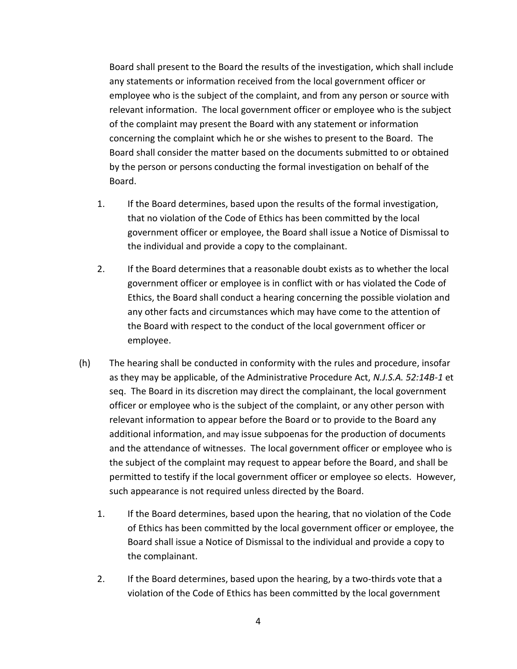Board shall present to the Board the results of the investigation, which shall include any statements or information received from the local government officer or employee who is the subject of the complaint, and from any person or source with relevant information. The local government officer or employee who is the subject of the complaint may present the Board with any statement or information concerning the complaint which he or she wishes to present to the Board. The Board shall consider the matter based on the documents submitted to or obtained by the person or persons conducting the formal investigation on behalf of the Board.

- 1. If the Board determines, based upon the results of the formal investigation, that no violation of the Code of Ethics has been committed by the local government officer or employee, the Board shall issue a Notice of Dismissal to the individual and provide a copy to the complainant.
- 2. If the Board determines that a reasonable doubt exists as to whether the local government officer or employee is in conflict with or has violated the Code of Ethics, the Board shall conduct a hearing concerning the possible violation and any other facts and circumstances which may have come to the attention of the Board with respect to the conduct of the local government officer or employee.
- (h) The hearing shall be conducted in conformity with the rules and procedure, insofar as they may be applicable, of the Administrative Procedure Act, *N.J.S.A. 52:14B-1* et seq. The Board in its discretion may direct the complainant, the local government officer or employee who is the subject of the complaint, or any other person with relevant information to appear before the Board or to provide to the Board any additional information, and may issue subpoenas for the production of documents and the attendance of witnesses. The local government officer or employee who is the subject of the complaint may request to appear before the Board, and shall be permitted to testify if the local government officer or employee so elects. However, such appearance is not required unless directed by the Board.
	- 1. If the Board determines, based upon the hearing, that no violation of the Code of Ethics has been committed by the local government officer or employee, the Board shall issue a Notice of Dismissal to the individual and provide a copy to the complainant.
	- 2. If the Board determines, based upon the hearing, by a two-thirds vote that a violation of the Code of Ethics has been committed by the local government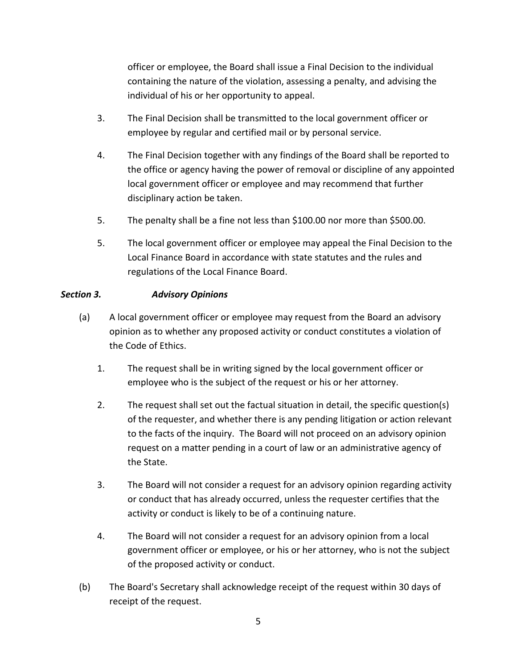officer or employee, the Board shall issue a Final Decision to the individual containing the nature of the violation, assessing a penalty, and advising the individual of his or her opportunity to appeal.

- 3. The Final Decision shall be transmitted to the local government officer or employee by regular and certified mail or by personal service.
- 4. The Final Decision together with any findings of the Board shall be reported to the office or agency having the power of removal or discipline of any appointed local government officer or employee and may recommend that further disciplinary action be taken.
- 5. The penalty shall be a fine not less than \$100.00 nor more than \$500.00.
- 5. The local government officer or employee may appeal the Final Decision to the Local Finance Board in accordance with state statutes and the rules and regulations of the Local Finance Board.

# *Section 3. Advisory Opinions*

- (a) A local government officer or employee may request from the Board an advisory opinion as to whether any proposed activity or conduct constitutes a violation of the Code of Ethics.
	- 1. The request shall be in writing signed by the local government officer or employee who is the subject of the request or his or her attorney.
	- 2. The request shall set out the factual situation in detail, the specific question(s) of the requester, and whether there is any pending litigation or action relevant to the facts of the inquiry. The Board will not proceed on an advisory opinion request on a matter pending in a court of law or an administrative agency of the State.
	- 3. The Board will not consider a request for an advisory opinion regarding activity or conduct that has already occurred, unless the requester certifies that the activity or conduct is likely to be of a continuing nature.
	- 4. The Board will not consider a request for an advisory opinion from a local government officer or employee, or his or her attorney, who is not the subject of the proposed activity or conduct.
- (b) The Board's Secretary shall acknowledge receipt of the request within 30 days of receipt of the request.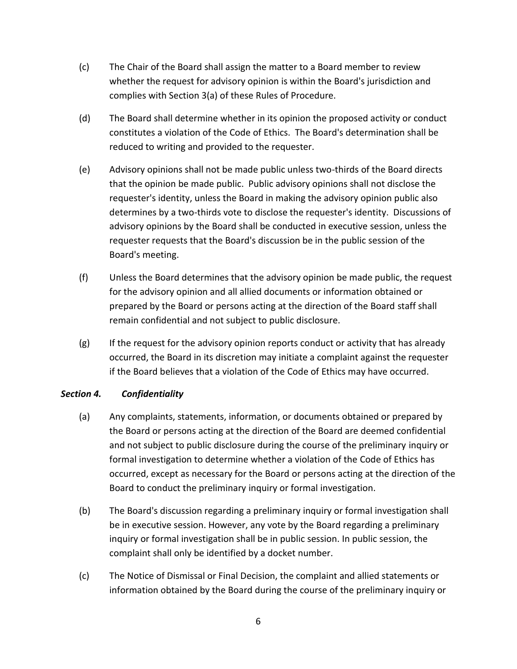- (c) The Chair of the Board shall assign the matter to a Board member to review whether the request for advisory opinion is within the Board's jurisdiction and complies with Section 3(a) of these Rules of Procedure.
- (d) The Board shall determine whether in its opinion the proposed activity or conduct constitutes a violation of the Code of Ethics. The Board's determination shall be reduced to writing and provided to the requester.
- (e) Advisory opinions shall not be made public unless two-thirds of the Board directs that the opinion be made public. Public advisory opinions shall not disclose the requester's identity, unless the Board in making the advisory opinion public also determines by a two-thirds vote to disclose the requester's identity. Discussions of advisory opinions by the Board shall be conducted in executive session, unless the requester requests that the Board's discussion be in the public session of the Board's meeting.
- (f) Unless the Board determines that the advisory opinion be made public, the request for the advisory opinion and all allied documents or information obtained or prepared by the Board or persons acting at the direction of the Board staff shall remain confidential and not subject to public disclosure.
- (g) If the request for the advisory opinion reports conduct or activity that has already occurred, the Board in its discretion may initiate a complaint against the requester if the Board believes that a violation of the Code of Ethics may have occurred.

#### *Section 4. Confidentiality*

- (a) Any complaints, statements, information, or documents obtained or prepared by the Board or persons acting at the direction of the Board are deemed confidential and not subject to public disclosure during the course of the preliminary inquiry or formal investigation to determine whether a violation of the Code of Ethics has occurred, except as necessary for the Board or persons acting at the direction of the Board to conduct the preliminary inquiry or formal investigation.
- (b) The Board's discussion regarding a preliminary inquiry or formal investigation shall be in executive session. However, any vote by the Board regarding a preliminary inquiry or formal investigation shall be in public session. In public session, the complaint shall only be identified by a docket number.
- (c) The Notice of Dismissal or Final Decision, the complaint and allied statements or information obtained by the Board during the course of the preliminary inquiry or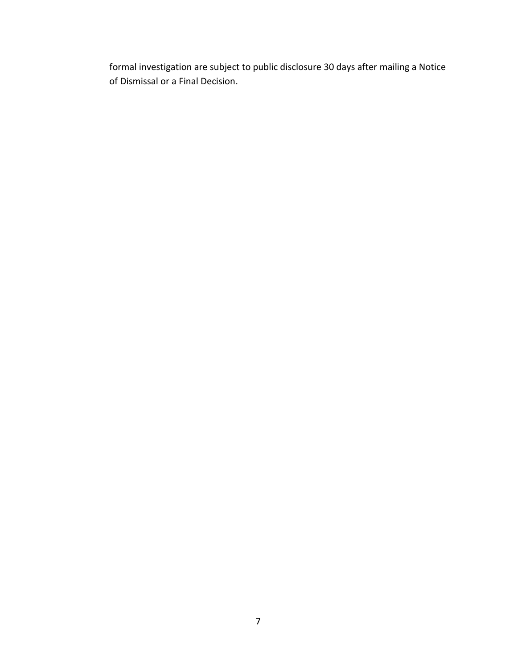formal investigation are subject to public disclosure 30 days after mailing a Notice of Dismissal or a Final Decision.